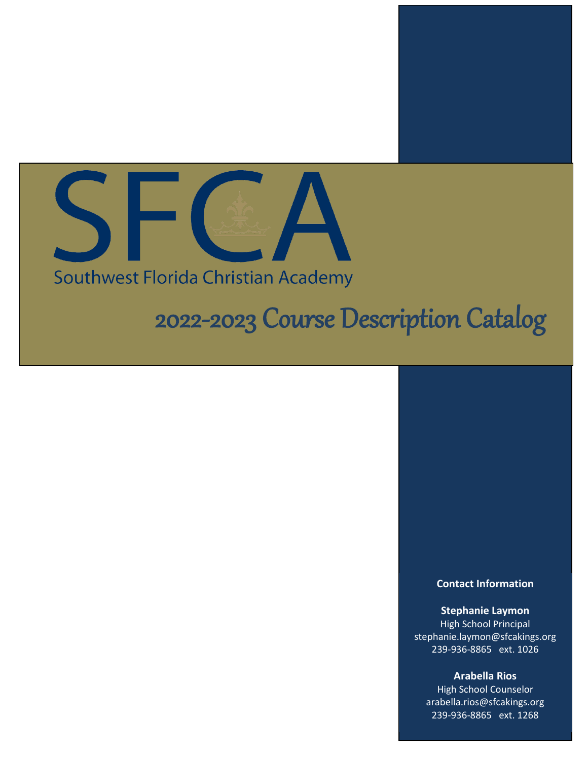

# Southwest Florida Christian Academy

# 2022-2023 Course Description Catalog

#### **Contact Information**

**Stephanie Laymon** High School Principal stephanie.laymon@sfcakings.org 239-936-8865 ext. 1026

**Arabella Rios** High School Counselor arabella.rios@sfcakings.org 239-936-8865 ext. 1268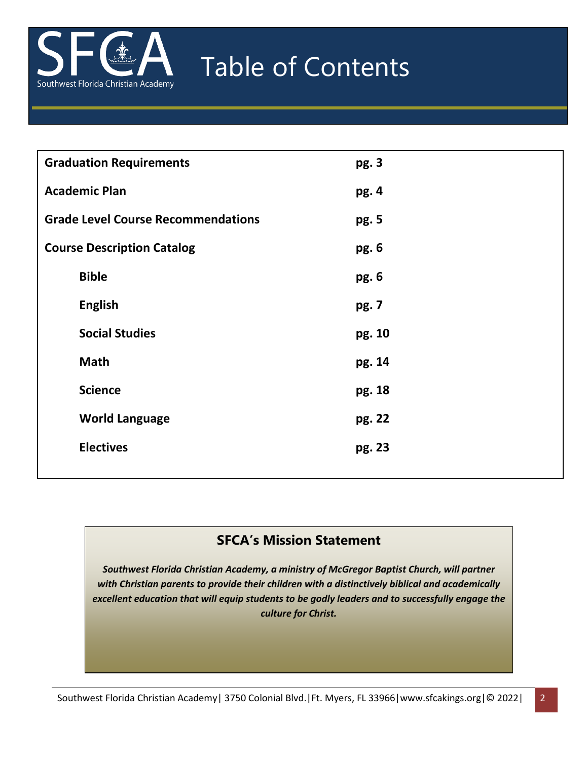

# Table of Contents

| <b>Graduation Requirements</b>            | pg. 3  |
|-------------------------------------------|--------|
| <b>Academic Plan</b>                      | pg. 4  |
| <b>Grade Level Course Recommendations</b> | pg. 5  |
| <b>Course Description Catalog</b>         | pg. 6  |
| <b>Bible</b>                              | pg. 6  |
| <b>English</b>                            | pg. 7  |
| <b>Social Studies</b>                     | pg. 10 |
| <b>Math</b>                               | pg. 14 |
| <b>Science</b>                            | pg. 18 |
| <b>World Language</b>                     | pg. 22 |
| <b>Electives</b>                          | pg. 23 |
|                                           |        |

# **SFCA's Mission Statement**

*Southwest Florida Christian Academy, a ministry of McGregor Baptist Church, will partner with Christian parents to provide their children with a distinctively biblical and academically excellent education that will equip students to be godly leaders and to successfully engage the culture for Christ.*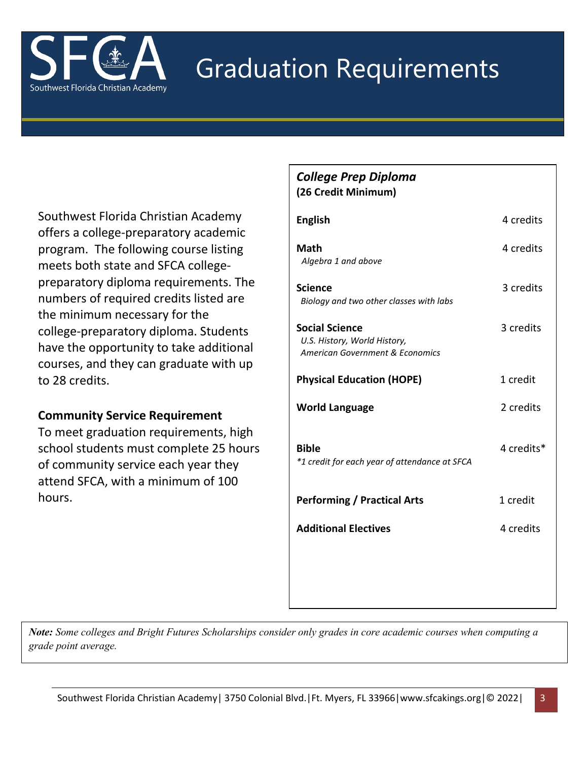

# Graduation Requirements

Southwest Florida Christian Academy offers a college-preparatory academic program. The following course listing meets both state and SFCA collegepreparatory diploma requirements. The numbers of required credits listed are the minimum necessary for the college-preparatory diploma. Students have the opportunity to take additional courses, and they can graduate with up to 28 credits.

# **Community Service Requirement**

To meet graduation requirements, high school students must complete 25 hours of community service each year they attend SFCA, with a minimum of 100 hours.

# *College Prep Diploma* **(26 Credit Minimum)**

| <b>English</b>                                                                           | 4 credits  |
|------------------------------------------------------------------------------------------|------------|
| Math<br>Algebra 1 and above                                                              | 4 credits  |
| <b>Science</b><br>Biology and two other classes with labs                                | 3 credits  |
| <b>Social Science</b><br>U.S. History, World History,<br>American Government & Economics | 3 credits  |
| <b>Physical Education (HOPE)</b>                                                         | 1 credit   |
| <b>World Language</b>                                                                    | 2 credits  |
| <b>Bible</b><br>*1 credit for each year of attendance at SFCA                            | 4 credits* |
| <b>Performing / Practical Arts</b>                                                       | 1 credit   |
| <b>Additional Electives</b>                                                              | 4 credits  |
|                                                                                          |            |

*Note: Some colleges and Bright Futures Scholarships consider only grades in core academic courses when computing a grade point average.*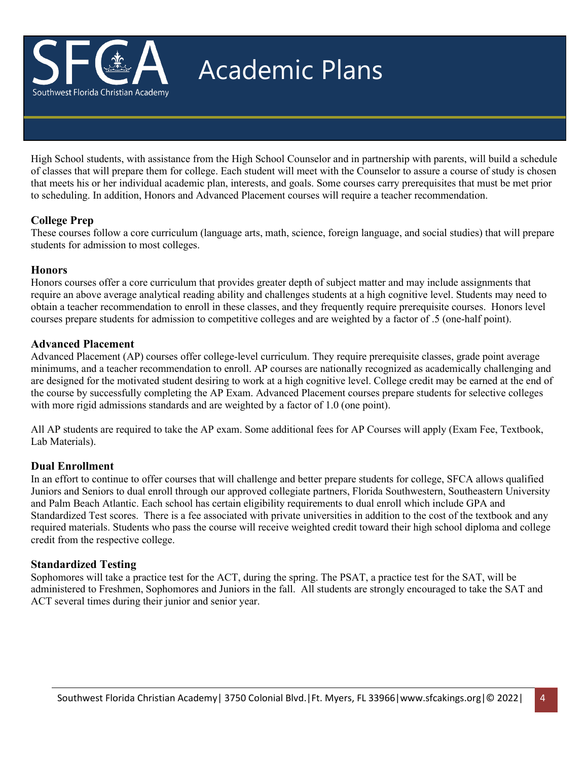

# Academic Plans

High School students, with assistance from the High School Counselor and in partnership with parents, will build a schedule of classes that will prepare them for college. Each student will meet with the Counselor to assure a course of study is chosen that meets his or her individual academic plan, interests, and goals. Some courses carry prerequisites that must be met prior to scheduling. In addition, Honors and Advanced Placement courses will require a teacher recommendation.

## **College Prep**

These courses follow a core curriculum (language arts, math, science, foreign language, and social studies) that will prepare students for admission to most colleges.

### **Honors**

Honors courses offer a core curriculum that provides greater depth of subject matter and may include assignments that require an above average analytical reading ability and challenges students at a high cognitive level. Students may need to obtain a teacher recommendation to enroll in these classes, and they frequently require prerequisite courses. Honors level courses prepare students for admission to competitive colleges and are weighted by a factor of .5 (one-half point).

## **Advanced Placement**

Advanced Placement (AP) courses offer college-level curriculum. They require prerequisite classes, grade point average minimums, and a teacher recommendation to enroll. AP courses are nationally recognized as academically challenging and are designed for the motivated student desiring to work at a high cognitive level. College credit may be earned at the end of the course by successfully completing the AP Exam. Advanced Placement courses prepare students for selective colleges with more rigid admissions standards and are weighted by a factor of 1.0 (one point).

All AP students are required to take the AP exam. Some additional fees for AP Courses will apply (Exam Fee, Textbook, Lab Materials).

# **Dual Enrollment**

In an effort to continue to offer courses that will challenge and better prepare students for college, SFCA allows qualified Juniors and Seniors to dual enroll through our approved collegiate partners, Florida Southwestern, Southeastern University and Palm Beach Atlantic. Each school has certain eligibility requirements to dual enroll which include GPA and Standardized Test scores. There is a fee associated with private universities in addition to the cost of the textbook and any required materials. Students who pass the course will receive weighted credit toward their high school diploma and college credit from the respective college.

### **Standardized Testing**

Sophomores will take a practice test for the ACT, during the spring. The PSAT, a practice test for the SAT, will be administered to Freshmen, Sophomores and Juniors in the fall. All students are strongly encouraged to take the SAT and ACT several times during their junior and senior year.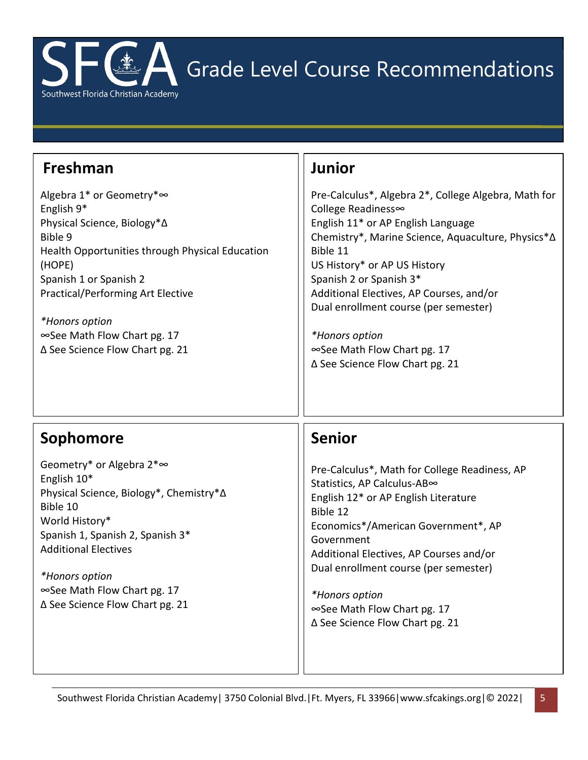

Grade Level Course Recommendations

# **Freshman**

Algebra 1\* or Geometry\*∞ English 9\* Physical Science, Biology\*∆ Bible 9 Health Opportunities through Physical Education (HOPE) Spanish 1 or Spanish 2 Practical/Performing Art Elective

*\*Honors option* ∞See Math Flow Chart pg. 17 ∆ See Science Flow Chart pg. 21

# **Junior**

Pre-Calculus\*, Algebra 2\*, College Algebra, Math for College Readiness∞ English 11\* or AP English Language Chemistry\*, Marine Science, Aquaculture, Physics\*∆ Bible 11 US History\* or AP US History Spanish 2 or Spanish 3\* Additional Electives, AP Courses, and/or Dual enrollment course (per semester)

*\*Honors option* ∞See Math Flow Chart pg. 17 ∆ See Science Flow Chart pg. 21

# **Sophomore**

Geometry\* or Algebra 2\*∞ English 10\* Physical Science, Biology\*, Chemistry\*∆ Bible 10 World History\* Spanish 1, Spanish 2, Spanish 3\* Additional Electives

*\*Honors option* ∞See Math Flow Chart pg. 17 ∆ See Science Flow Chart pg. 21

# **Senior**

Pre-Calculus\*, Math for College Readiness, AP Statistics, AP Calculus-AB∞ English 12\* or AP English Literature Bible 12 Economics\*/American Government\*, AP Government Additional Electives, AP Courses and/or Dual enrollment course (per semester)

*\*Honors option* ∞See Math Flow Chart pg. 17 ∆ See Science Flow Chart pg. 21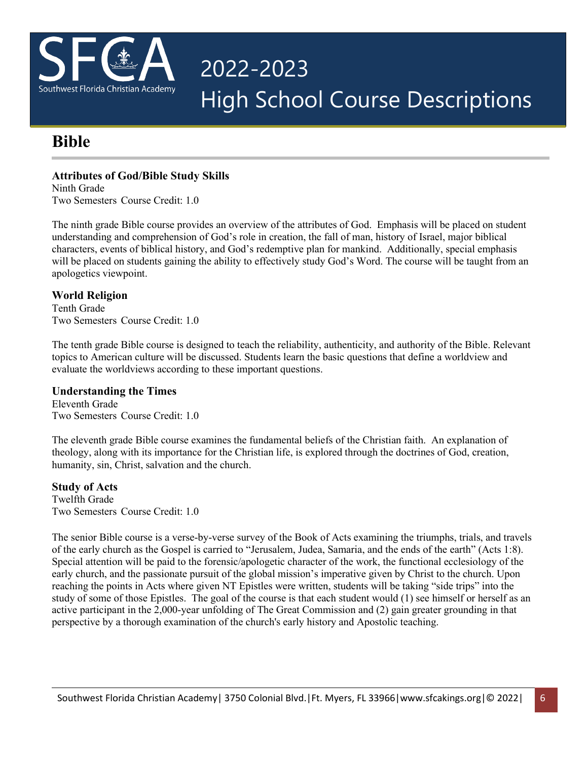

# 2022-2023 High School Course Descriptions

# **Bible**

# **Attributes of God/Bible Study Skills**

Ninth Grade Two Semesters Course Credit: 1.0

The ninth grade Bible course provides an overview of the attributes of God. Emphasis will be placed on student understanding and comprehension of God's role in creation, the fall of man, history of Israel, major biblical characters, events of biblical history, and God's redemptive plan for mankind. Additionally, special emphasis will be placed on students gaining the ability to effectively study God's Word. The course will be taught from an apologetics viewpoint.

# **World Religion**

Tenth Grade Two Semesters Course Credit: 1.0

The tenth grade Bible course is designed to teach the reliability, authenticity, and authority of the Bible. Relevant topics to American culture will be discussed. Students learn the basic questions that define a worldview and evaluate the worldviews according to these important questions.

# **Understanding the Times**

Eleventh Grade Two Semesters Course Credit: 1.0

The eleventh grade Bible course examines the fundamental beliefs of the Christian faith. An explanation of theology, along with its importance for the Christian life, is explored through the doctrines of God, creation, humanity, sin, Christ, salvation and the church.

# **Study of Acts**

Twelfth Grade Two Semesters Course Credit: 1.0

The senior Bible course is a verse-by-verse survey of the Book of Acts examining the triumphs, trials, and travels of the early church as the Gospel is carried to "Jerusalem, Judea, Samaria, and the ends of the earth" (Acts 1:8). Special attention will be paid to the forensic/apologetic character of the work, the functional ecclesiology of the early church, and the passionate pursuit of the global mission's imperative given by Christ to the church. Upon reaching the points in Acts where given NT Epistles were written, students will be taking "side trips" into the study of some of those Epistles. The goal of the course is that each student would (1) see himself or herself as an active participant in the 2,000-year unfolding of The Great Commission and (2) gain greater grounding in that perspective by a thorough examination of the church's early history and Apostolic teaching.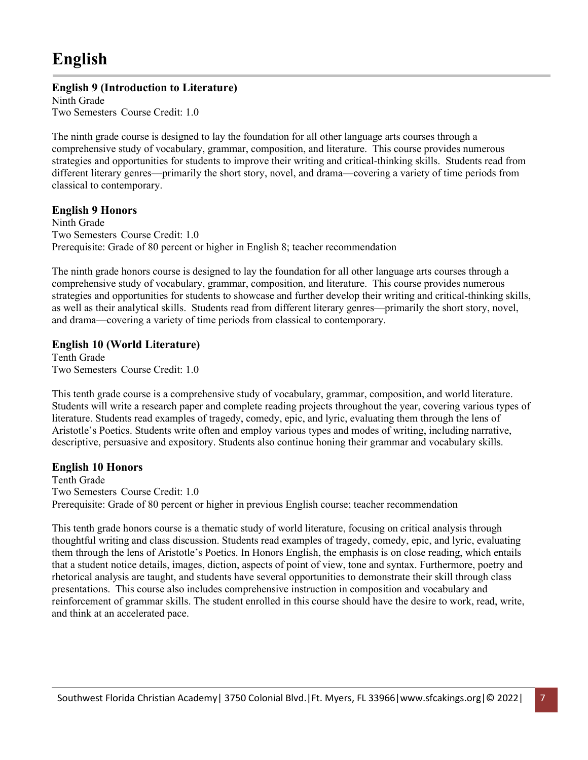# **English**

# **English 9 (Introduction to Literature)**

Ninth Grade Two Semesters Course Credit: 1.0

The ninth grade course is designed to lay the foundation for all other language arts courses through a comprehensive study of vocabulary, grammar, composition, and literature. This course provides numerous strategies and opportunities for students to improve their writing and critical-thinking skills. Students read from different literary genres—primarily the short story, novel, and drama—covering a variety of time periods from classical to contemporary.

### **English 9 Honors**

Ninth Grade Two Semesters Course Credit: 1.0 Prerequisite: Grade of 80 percent or higher in English 8; teacher recommendation

The ninth grade honors course is designed to lay the foundation for all other language arts courses through a comprehensive study of vocabulary, grammar, composition, and literature. This course provides numerous strategies and opportunities for students to showcase and further develop their writing and critical-thinking skills, as well as their analytical skills. Students read from different literary genres—primarily the short story, novel, and drama—covering a variety of time periods from classical to contemporary.

## **English 10 (World Literature)**

Tenth Grade Two Semesters Course Credit: 1.0

This tenth grade course is a comprehensive study of vocabulary, grammar, composition, and world literature. Students will write a research paper and complete reading projects throughout the year, covering various types of literature. Students read examples of tragedy, comedy, epic, and lyric, evaluating them through the lens of Aristotle's Poetics. Students write often and employ various types and modes of writing, including narrative, descriptive, persuasive and expository. Students also continue honing their grammar and vocabulary skills.

### **English 10 Honors**

Tenth Grade Two Semesters Course Credit: 1.0 Prerequisite: Grade of 80 percent or higher in previous English course; teacher recommendation

This tenth grade honors course is a thematic study of world literature, focusing on critical analysis through thoughtful writing and class discussion. Students read examples of tragedy, comedy, epic, and lyric, evaluating them through the lens of Aristotle's Poetics. In Honors English, the emphasis is on close reading, which entails that a student notice details, images, diction, aspects of point of view, tone and syntax. Furthermore, poetry and rhetorical analysis are taught, and students have several opportunities to demonstrate their skill through class presentations. This course also includes comprehensive instruction in composition and vocabulary and reinforcement of grammar skills. The student enrolled in this course should have the desire to work, read, write, and think at an accelerated pace.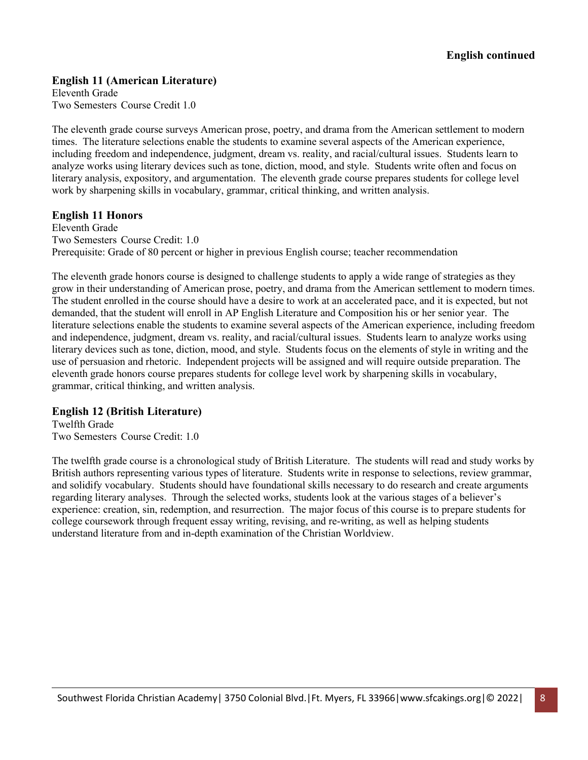### **English 11 (American Literature)**

Eleventh Grade Two Semesters Course Credit 1.0

The eleventh grade course surveys American prose, poetry, and drama from the American settlement to modern times. The literature selections enable the students to examine several aspects of the American experience, including freedom and independence, judgment, dream vs. reality, and racial/cultural issues. Students learn to analyze works using literary devices such as tone, diction, mood, and style. Students write often and focus on literary analysis, expository, and argumentation. The eleventh grade course prepares students for college level work by sharpening skills in vocabulary, grammar, critical thinking, and written analysis.

### **English 11 Honors**

Eleventh Grade Two Semesters Course Credit: 1.0 Prerequisite: Grade of 80 percent or higher in previous English course; teacher recommendation

The eleventh grade honors course is designed to challenge students to apply a wide range of strategies as they grow in their understanding of American prose, poetry, and drama from the American settlement to modern times. The student enrolled in the course should have a desire to work at an accelerated pace, and it is expected, but not demanded, that the student will enroll in AP English Literature and Composition his or her senior year. The literature selections enable the students to examine several aspects of the American experience, including freedom and independence, judgment, dream vs. reality, and racial/cultural issues. Students learn to analyze works using literary devices such as tone, diction, mood, and style. Students focus on the elements of style in writing and the use of persuasion and rhetoric. Independent projects will be assigned and will require outside preparation. The eleventh grade honors course prepares students for college level work by sharpening skills in vocabulary, grammar, critical thinking, and written analysis.

#### **English 12 (British Literature)**

Twelfth Grade Two Semesters Course Credit: 1.0

The twelfth grade course is a chronological study of British Literature. The students will read and study works by British authors representing various types of literature. Students write in response to selections, review grammar, and solidify vocabulary. Students should have foundational skills necessary to do research and create arguments regarding literary analyses. Through the selected works, students look at the various stages of a believer's experience: creation, sin, redemption, and resurrection. The major focus of this course is to prepare students for college coursework through frequent essay writing, revising, and re-writing, as well as helping students understand literature from and in-depth examination of the Christian Worldview.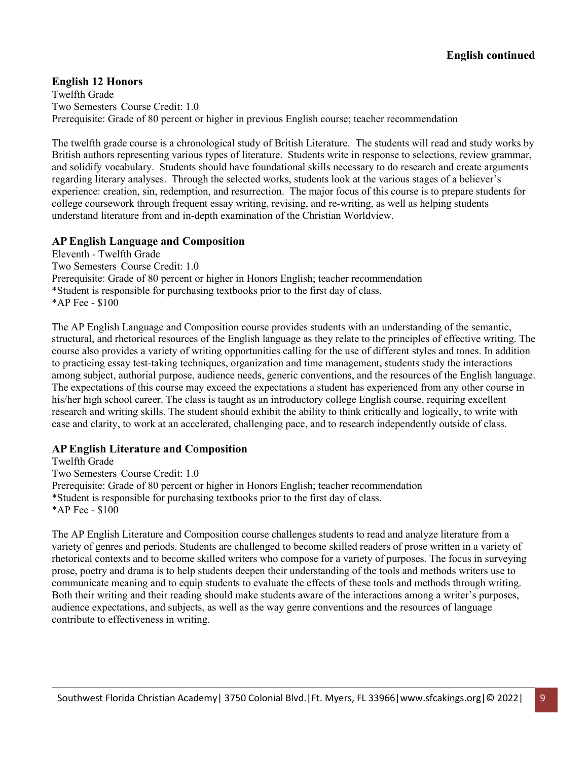# **English 12 Honors**

Twelfth Grade Two Semesters Course Credit: 1.0 Prerequisite: Grade of 80 percent or higher in previous English course; teacher recommendation

The twelfth grade course is a chronological study of British Literature. The students will read and study works by British authors representing various types of literature. Students write in response to selections, review grammar, and solidify vocabulary. Students should have foundational skills necessary to do research and create arguments regarding literary analyses. Through the selected works, students look at the various stages of a believer's experience: creation, sin, redemption, and resurrection. The major focus of this course is to prepare students for college coursework through frequent essay writing, revising, and re-writing, as well as helping students understand literature from and in-depth examination of the Christian Worldview.

#### **AP English Language and Composition**

Eleventh - Twelfth Grade Two Semesters Course Credit: 1.0 Prerequisite: Grade of 80 percent or higher in Honors English; teacher recommendation \*Student is responsible for purchasing textbooks prior to the first day of class. \*AP Fee - \$100

The AP English Language and Composition course provides students with an understanding of the semantic, structural, and rhetorical resources of the English language as they relate to the principles of effective writing. The course also provides a variety of writing opportunities calling for the use of different styles and tones. In addition to practicing essay test-taking techniques, organization and time management, students study the interactions among subject, authorial purpose, audience needs, generic conventions, and the resources of the English language. The expectations of this course may exceed the expectations a student has experienced from any other course in his/her high school career. The class is taught as an introductory college English course, requiring excellent research and writing skills. The student should exhibit the ability to think critically and logically, to write with ease and clarity, to work at an accelerated, challenging pace, and to research independently outside of class.

#### **AP English Literature and Composition**

Twelfth Grade Two Semesters Course Credit: 1.0 Prerequisite: Grade of 80 percent or higher in Honors English; teacher recommendation \*Student is responsible for purchasing textbooks prior to the first day of class. \*AP Fee - \$100

The AP English Literature and Composition course challenges students to read and analyze literature from a variety of genres and periods. Students are challenged to become skilled readers of prose written in a variety of rhetorical contexts and to become skilled writers who compose for a variety of purposes. The focus in surveying prose, poetry and drama is to help students deepen their understanding of the tools and methods writers use to communicate meaning and to equip students to evaluate the effects of these tools and methods through writing. Both their writing and their reading should make students aware of the interactions among a writer's purposes, audience expectations, and subjects, as well as the way genre conventions and the resources of language contribute to effectiveness in writing.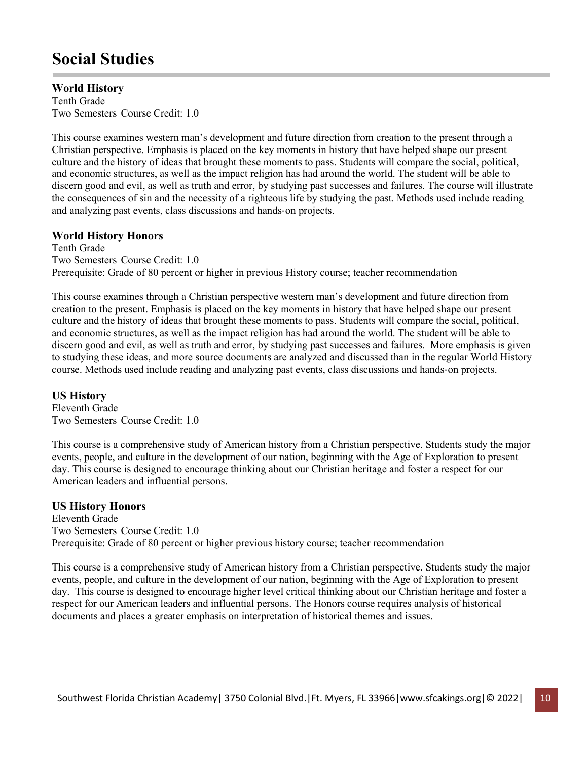# **Social Studies**

# **World History**

Tenth Grade Two Semesters Course Credit: 1.0

This course examines western man's development and future direction from creation to the present through a Christian perspective. Emphasis is placed on the key moments in history that have helped shape our present culture and the history of ideas that brought these moments to pass. Students will compare the social, political, and economic structures, as well as the impact religion has had around the world. The student will be able to discern good and evil, as well as truth and error, by studying past successes and failures. The course will illustrate the consequences of sin and the necessity of a righteous life by studying the past. Methods used include reading and analyzing past events, class discussions and hands‐on projects.

# **World History Honors**

Tenth Grade Two Semesters Course Credit: 1.0 Prerequisite: Grade of 80 percent or higher in previous History course; teacher recommendation

This course examines through a Christian perspective western man's development and future direction from creation to the present. Emphasis is placed on the key moments in history that have helped shape our present culture and the history of ideas that brought these moments to pass. Students will compare the social, political, and economic structures, as well as the impact religion has had around the world. The student will be able to discern good and evil, as well as truth and error, by studying past successes and failures. More emphasis is given to studying these ideas, and more source documents are analyzed and discussed than in the regular World History course. Methods used include reading and analyzing past events, class discussions and hands‐on projects.

### **US History**

Eleventh Grade Two Semesters Course Credit: 1.0

This course is a comprehensive study of American history from a Christian perspective. Students study the major events, people, and culture in the development of our nation, beginning with the Age of Exploration to present day. This course is designed to encourage thinking about our Christian heritage and foster a respect for our American leaders and influential persons.

### **US History Honors**

Eleventh Grade Two Semesters Course Credit: 1.0 Prerequisite: Grade of 80 percent or higher previous history course; teacher recommendation

This course is a comprehensive study of American history from a Christian perspective. Students study the major events, people, and culture in the development of our nation, beginning with the Age of Exploration to present day. This course is designed to encourage higher level critical thinking about our Christian heritage and foster a respect for our American leaders and influential persons. The Honors course requires analysis of historical documents and places a greater emphasis on interpretation of historical themes and issues.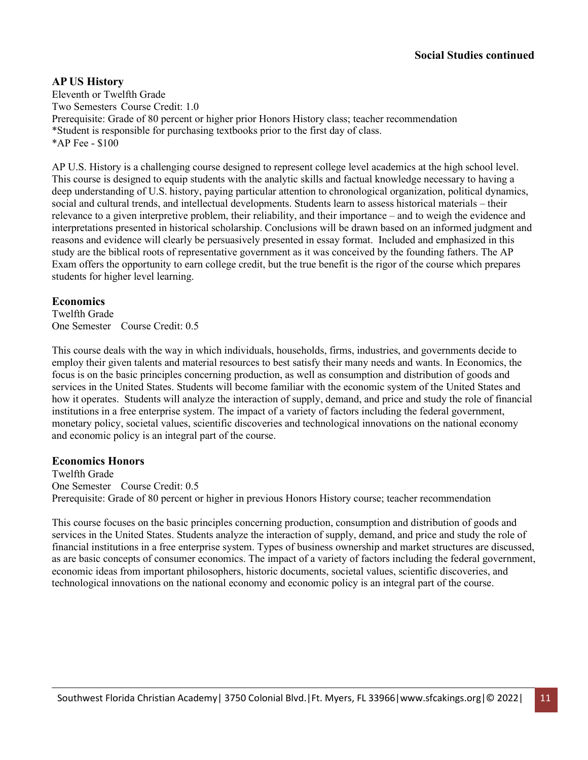#### **AP US History**

Eleventh or Twelfth Grade Two Semesters Course Credit: 1.0 Prerequisite: Grade of 80 percent or higher prior Honors History class; teacher recommendation \*Student is responsible for purchasing textbooks prior to the first day of class. \*AP Fee - \$100

AP U.S. History is a challenging course designed to represent college level academics at the high school level. This course is designed to equip students with the analytic skills and factual knowledge necessary to having a deep understanding of U.S. history, paying particular attention to chronological organization, political dynamics, social and cultural trends, and intellectual developments. Students learn to assess historical materials – their relevance to a given interpretive problem, their reliability, and their importance – and to weigh the evidence and interpretations presented in historical scholarship. Conclusions will be drawn based on an informed judgment and reasons and evidence will clearly be persuasively presented in essay format. Included and emphasized in this study are the biblical roots of representative government as it was conceived by the founding fathers. The AP Exam offers the opportunity to earn college credit, but the true benefit is the rigor of the course which prepares students for higher level learning.

#### **Economics**

Twelfth Grade One Semester Course Credit: 0.5

This course deals with the way in which individuals, households, firms, industries, and governments decide to employ their given talents and material resources to best satisfy their many needs and wants. In Economics, the focus is on the basic principles concerning production, as well as consumption and distribution of goods and services in the United States. Students will become familiar with the economic system of the United States and how it operates. Students will analyze the interaction of supply, demand, and price and study the role of financial institutions in a free enterprise system. The impact of a variety of factors including the federal government, monetary policy, societal values, scientific discoveries and technological innovations on the national economy and economic policy is an integral part of the course.

### **Economics Honors**

Twelfth Grade One Semester Course Credit: 0.5 Prerequisite: Grade of 80 percent or higher in previous Honors History course; teacher recommendation

This course focuses on the basic principles concerning production, consumption and distribution of goods and services in the United States. Students analyze the interaction of supply, demand, and price and study the role of financial institutions in a free enterprise system. Types of business ownership and market structures are discussed, as are basic concepts of consumer economics. The impact of a variety of factors including the federal government, economic ideas from important philosophers, historic documents, societal values, scientific discoveries, and technological innovations on the national economy and economic policy is an integral part of the course.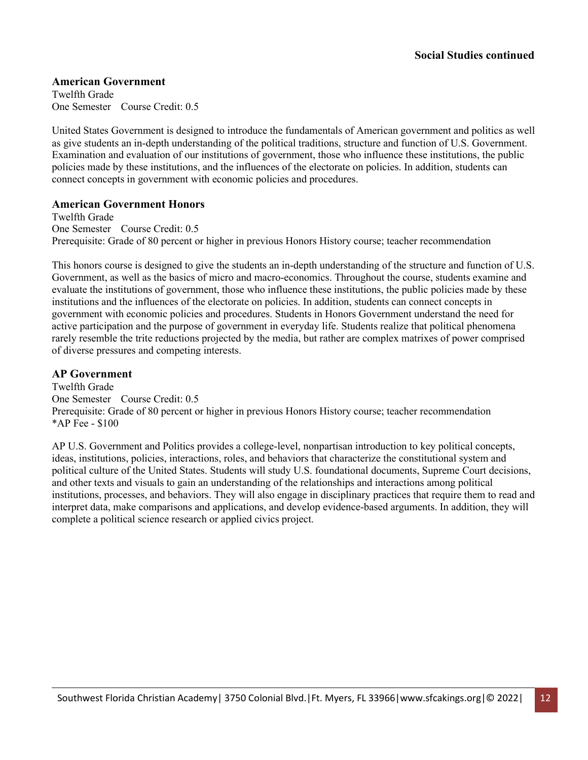#### **American Government**

Twelfth Grade One Semester Course Credit: 0.5

United States Government is designed to introduce the fundamentals of American government and politics as well as give students an in-depth understanding of the political traditions, structure and function of U.S. Government. Examination and evaluation of our institutions of government, those who influence these institutions, the public policies made by these institutions, and the influences of the electorate on policies. In addition, students can connect concepts in government with economic policies and procedures.

#### **American Government Honors**

Twelfth Grade One Semester Course Credit: 0.5 Prerequisite: Grade of 80 percent or higher in previous Honors History course; teacher recommendation

This honors course is designed to give the students an in-depth understanding of the structure and function of U.S. Government, as well as the basics of micro and macro-economics. Throughout the course, students examine and evaluate the institutions of government, those who influence these institutions, the public policies made by these institutions and the influences of the electorate on policies. In addition, students can connect concepts in government with economic policies and procedures. Students in Honors Government understand the need for active participation and the purpose of government in everyday life. Students realize that political phenomena rarely resemble the trite reductions projected by the media, but rather are complex matrixes of power comprised of diverse pressures and competing interests.

### **AP Government**

Twelfth Grade One Semester Course Credit: 0.5 Prerequisite: Grade of 80 percent or higher in previous Honors History course; teacher recommendation \*AP Fee - \$100

AP U.S. Government and Politics provides a college-level, nonpartisan introduction to key political concepts, ideas, institutions, policies, interactions, roles, and behaviors that characterize the constitutional system and political culture of the United States. Students will study U.S. foundational documents, Supreme Court decisions, and other texts and visuals to gain an understanding of the relationships and interactions among political institutions, processes, and behaviors. They will also engage in disciplinary practices that require them to read and interpret data, make comparisons and applications, and develop evidence-based arguments. In addition, they will complete a political science research or applied civics project.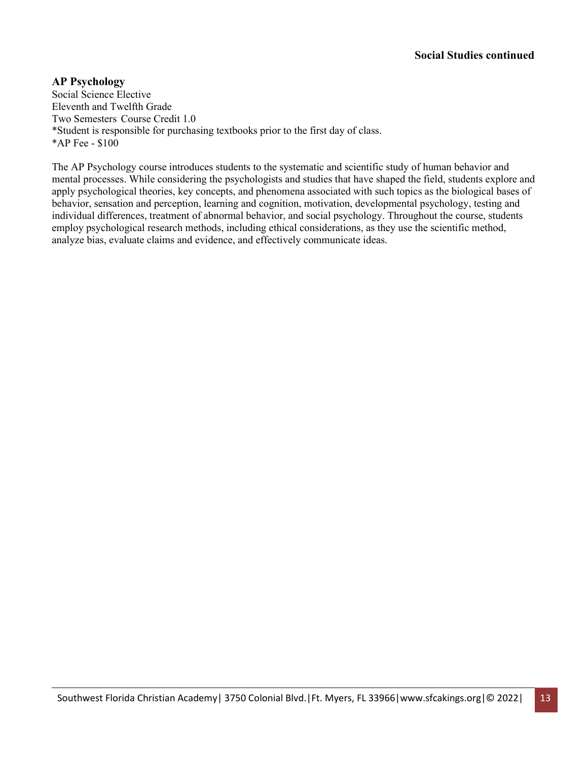## **AP Psychology**

Social Science Elective Eleventh and Twelfth Grade Two Semesters Course Credit 1.0 \*Student is responsible for purchasing textbooks prior to the first day of class. \*AP Fee - \$100

The AP Psychology course introduces students to the systematic and scientific study of human behavior and mental processes. While considering the psychologists and studies that have shaped the field, students explore and apply psychological theories, key concepts, and phenomena associated with such topics as the biological bases of behavior, sensation and perception, learning and cognition, motivation, developmental psychology, testing and individual differences, treatment of abnormal behavior, and social psychology. Throughout the course, students employ psychological research methods, including ethical considerations, as they use the scientific method, analyze bias, evaluate claims and evidence, and effectively communicate ideas.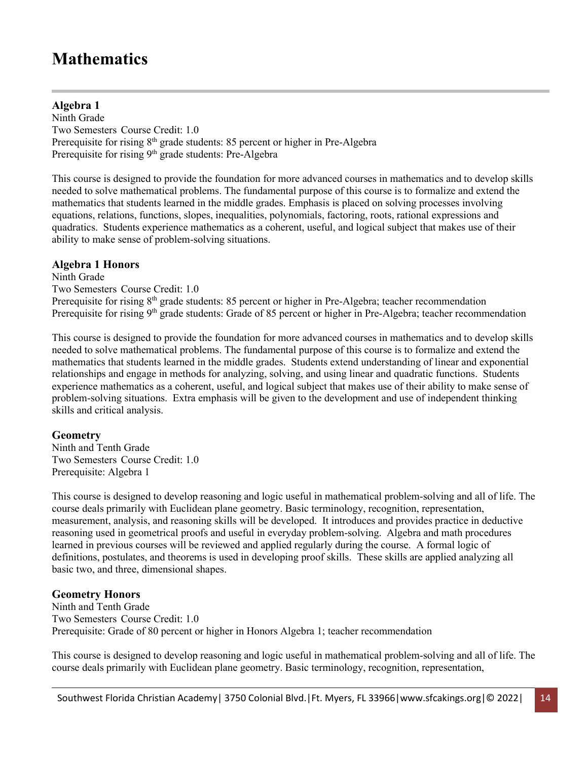# **Mathematics**

# **Algebra 1**

Ninth Grade Two Semesters Course Credit: 1.0 Prerequisite for rising 8<sup>th</sup> grade students: 85 percent or higher in Pre-Algebra Prerequisite for rising 9<sup>th</sup> grade students: Pre-Algebra

This course is designed to provide the foundation for more advanced courses in mathematics and to develop skills needed to solve mathematical problems. The fundamental purpose of this course is to formalize and extend the mathematics that students learned in the middle grades. Emphasis is placed on solving processes involving equations, relations, functions, slopes, inequalities, polynomials, factoring, roots, rational expressions and quadratics. Students experience mathematics as a coherent, useful, and logical subject that makes use of their ability to make sense of problem-solving situations.

### **Algebra 1 Honors**

Ninth Grade Two Semesters Course Credit: 1.0 Prerequisite for rising 8<sup>th</sup> grade students: 85 percent or higher in Pre-Algebra; teacher recommendation Prerequisite for rising 9<sup>th</sup> grade students: Grade of 85 percent or higher in Pre-Algebra; teacher recommendation

This course is designed to provide the foundation for more advanced courses in mathematics and to develop skills needed to solve mathematical problems. The fundamental purpose of this course is to formalize and extend the mathematics that students learned in the middle grades. Students extend understanding of linear and exponential relationships and engage in methods for analyzing, solving, and using linear and quadratic functions. Students experience mathematics as a coherent, useful, and logical subject that makes use of their ability to make sense of problem-solving situations. Extra emphasis will be given to the development and use of independent thinking skills and critical analysis.

#### **Geometry**

Ninth and Tenth Grade Two Semesters Course Credit: 1.0 Prerequisite: Algebra 1

This course is designed to develop reasoning and logic useful in mathematical problem-solving and all of life. The course deals primarily with Euclidean plane geometry. Basic terminology, recognition, representation, measurement, analysis, and reasoning skills will be developed. It introduces and provides practice in deductive reasoning used in geometrical proofs and useful in everyday problem-solving. Algebra and math procedures learned in previous courses will be reviewed and applied regularly during the course. A formal logic of definitions, postulates, and theorems is used in developing proof skills. These skills are applied analyzing all basic two, and three, dimensional shapes.

### **Geometry Honors**

Ninth and Tenth Grade Two Semesters Course Credit: 1.0 Prerequisite: Grade of 80 percent or higher in Honors Algebra 1; teacher recommendation

This course is designed to develop reasoning and logic useful in mathematical problem-solving and all of life. The course deals primarily with Euclidean plane geometry. Basic terminology, recognition, representation,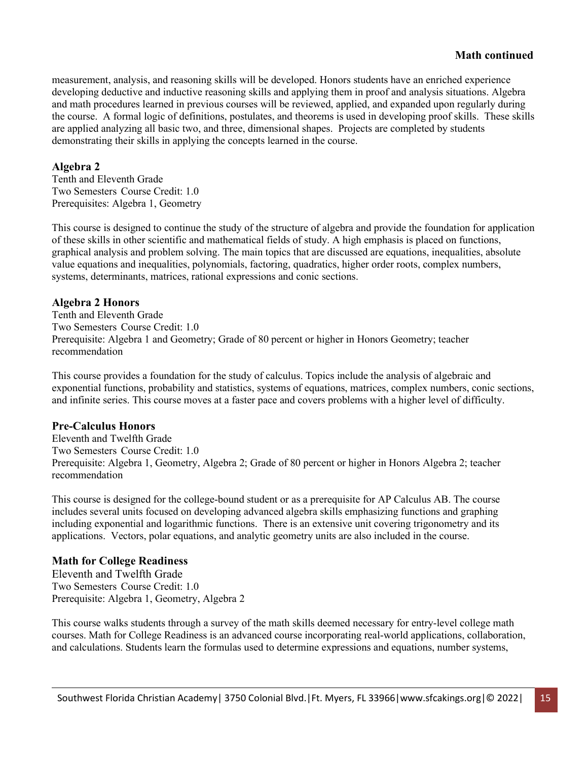# **Math continued**

measurement, analysis, and reasoning skills will be developed. Honors students have an enriched experience developing deductive and inductive reasoning skills and applying them in proof and analysis situations. Algebra and math procedures learned in previous courses will be reviewed, applied, and expanded upon regularly during the course. A formal logic of definitions, postulates, and theorems is used in developing proof skills. These skills are applied analyzing all basic two, and three, dimensional shapes. Projects are completed by students demonstrating their skills in applying the concepts learned in the course.

#### **Algebra 2**

Tenth and Eleventh Grade Two Semesters Course Credit: 1.0 Prerequisites: Algebra 1, Geometry

This course is designed to continue the study of the structure of algebra and provide the foundation for application of these skills in other scientific and mathematical fields of study. A high emphasis is placed on functions, graphical analysis and problem solving. The main topics that are discussed are equations, inequalities, absolute value equations and inequalities, polynomials, factoring, quadratics, higher order roots, complex numbers, systems, determinants, matrices, rational expressions and conic sections.

#### **Algebra 2 Honors**

Tenth and Eleventh Grade Two Semesters Course Credit: 1.0 Prerequisite: Algebra 1 and Geometry; Grade of 80 percent or higher in Honors Geometry; teacher recommendation

This course provides a foundation for the study of calculus. Topics include the analysis of algebraic and exponential functions, probability and statistics, systems of equations, matrices, complex numbers, conic sections, and infinite series. This course moves at a faster pace and covers problems with a higher level of difficulty.

### **Pre-Calculus Honors**

Eleventh and Twelfth Grade Two Semesters Course Credit: 1.0 Prerequisite: Algebra 1, Geometry, Algebra 2; Grade of 80 percent or higher in Honors Algebra 2; teacher recommendation

This course is designed for the college-bound student or as a prerequisite for AP Calculus AB. The course includes several units focused on developing advanced algebra skills emphasizing functions and graphing including exponential and logarithmic functions. There is an extensive unit covering trigonometry and its applications. Vectors, polar equations, and analytic geometry units are also included in the course.

#### **Math for College Readiness**

Eleventh and Twelfth Grade Two Semesters Course Credit: 1.0 Prerequisite: Algebra 1, Geometry, Algebra 2

This course walks students through a survey of the math skills deemed necessary for entry-level college math courses. Math for College Readiness is an advanced course incorporating real-world applications, collaboration, and calculations. Students learn the formulas used to determine expressions and equations, number systems,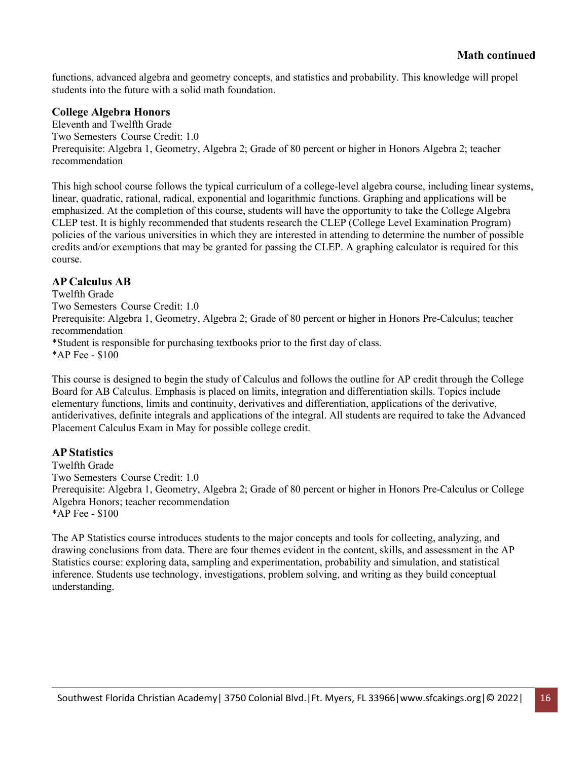functions, advanced algebra and geometry concepts, and statistics and probability. This knowledge will propel students into the future with a solid math foundation.

#### **College Algebra Honors**

Eleventh and Twelfth Grade Two Semesters Course Credit: 1.0 Prerequisite: Algebra 1, Geometry, Algebra 2; Grade of 80 percent or higher in Honors Algebra 2; teacher recommendation

This high school course follows the typical curriculum of a college-level algebra course, including linear systems, linear, quadratic, rational, radical, exponential and logarithmic functions. Graphing and applications will be emphasized. At the completion of this course, students will have the opportunity to take the College Algebra CLEP test. It is highly recommended that students research the CLEP (College Level Examination Program) policies of the various universities in which they are interested in attending to determine the number of possible credits and/or exemptions that may be granted for passing the CLEP. A graphing calculator is required for this course.

### **AP Calculus AB**

Twelfth Grade Two Semesters Course Credit: 1.0 Prerequisite: Algebra 1, Geometry, Algebra 2; Grade of 80 percent or higher in Honors Pre-Calculus; teacher recommendation \*Student is responsible for purchasing textbooks prior to the first day of class. \*AP Fee - \$100

This course is designed to begin the study of Calculus and follows the outline for AP credit through the College Board for AB Calculus. Emphasis is placed on limits, integration and differentiation skills. Topics include elementary functions, limits and continuity, derivatives and differentiation, applications of the derivative, antiderivatives, definite integrals and applications of the integral. All students are required to take the Advanced Placement Calculus Exam in May for possible college credit.

### **AP Statistics**

Twelfth Grade Two Semesters Course Credit: 1.0 Prerequisite: Algebra 1, Geometry, Algebra 2; Grade of 80 percent or higher in Honors Pre-Calculus or College Algebra Honors; teacher recommendation \*AP Fee - \$100

The AP Statistics course introduces students to the major concepts and tools for collecting, analyzing, and drawing conclusions from data. There are four themes evident in the content, skills, and assessment in the AP Statistics course: exploring data, sampling and experimentation, probability and simulation, and statistical inference. Students use technology, investigations, problem solving, and writing as they build conceptual understanding.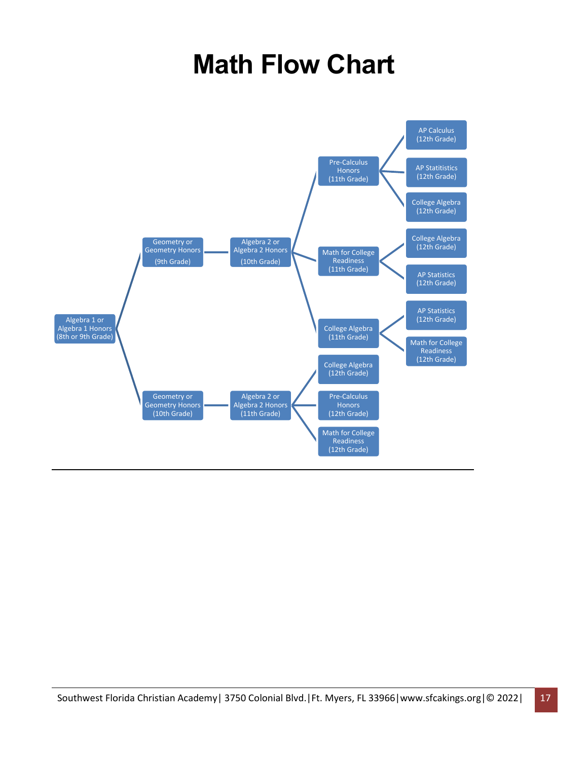# **Math Flow Chart**

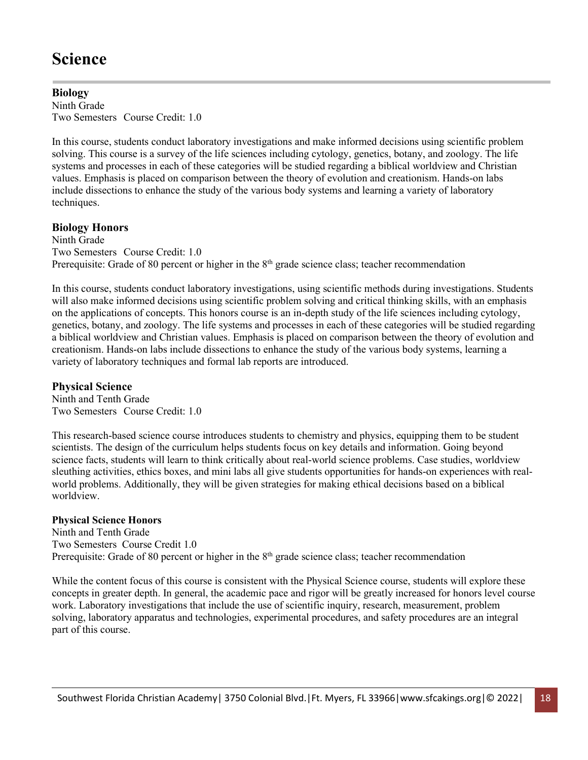# **Science**

#### **Biology** Ninth Grade Two Semesters Course Credit: 1.0

In this course, students conduct laboratory investigations and make informed decisions using scientific problem solving. This course is a survey of the life sciences including cytology, genetics, botany, and zoology. The life systems and processes in each of these categories will be studied regarding a biblical worldview and Christian values. Emphasis is placed on comparison between the theory of evolution and creationism. Hands-on labs include dissections to enhance the study of the various body systems and learning a variety of laboratory techniques.

# **Biology Honors**

Ninth Grade Two Semesters Course Credit: 1.0 Prerequisite: Grade of 80 percent or higher in the  $8<sup>th</sup>$  grade science class; teacher recommendation

In this course, students conduct laboratory investigations, using scientific methods during investigations. Students will also make informed decisions using scientific problem solving and critical thinking skills, with an emphasis on the applications of concepts. This honors course is an in-depth study of the life sciences including cytology, genetics, botany, and zoology. The life systems and processes in each of these categories will be studied regarding a biblical worldview and Christian values. Emphasis is placed on comparison between the theory of evolution and creationism. Hands-on labs include dissections to enhance the study of the various body systems, learning a variety of laboratory techniques and formal lab reports are introduced.

# **Physical Science**

Ninth and Tenth Grade Two Semesters Course Credit: 1.0

This research-based science course introduces students to chemistry and physics, equipping them to be student scientists. The design of the curriculum helps students focus on key details and information. Going beyond science facts, students will learn to think critically about real-world science problems. Case studies, worldview sleuthing activities, ethics boxes, and mini labs all give students opportunities for hands-on experiences with realworld problems. Additionally, they will be given strategies for making ethical decisions based on a biblical worldview.

### **Physical Science Honors**

Ninth and Tenth Grade Two Semesters Course Credit 1.0 Prerequisite: Grade of 80 percent or higher in the  $8<sup>th</sup>$  grade science class; teacher recommendation

While the content focus of this course is consistent with the Physical Science course, students will explore these concepts in greater depth. In general, the academic pace and rigor will be greatly increased for honors level course work. Laboratory investigations that include the use of scientific inquiry, research, measurement, problem solving, laboratory apparatus and technologies, experimental procedures, and safety procedures are an integral part of this course.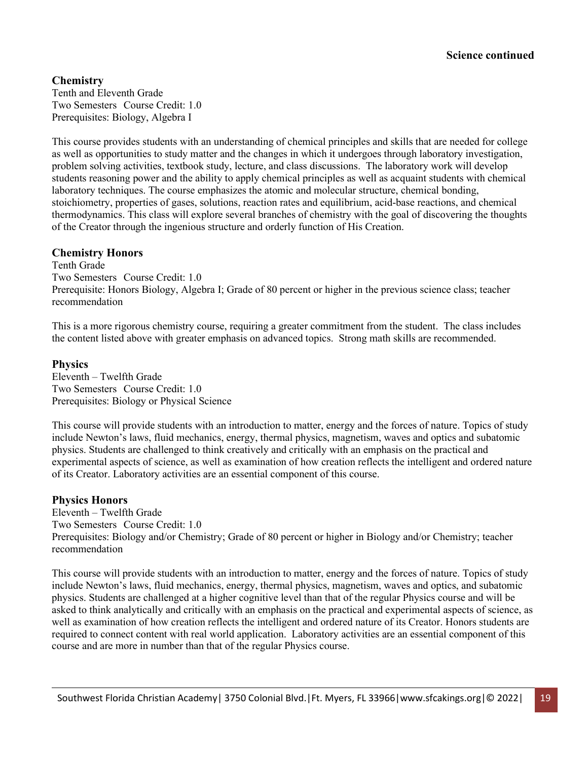# **Chemistry**

Tenth and Eleventh Grade Two Semesters Course Credit: 1.0 Prerequisites: Biology, Algebra I

This course provides students with an understanding of chemical principles and skills that are needed for college as well as opportunities to study matter and the changes in which it undergoes through laboratory investigation, problem solving activities, textbook study, lecture, and class discussions. The laboratory work will develop students reasoning power and the ability to apply chemical principles as well as acquaint students with chemical laboratory techniques. The course emphasizes the atomic and molecular structure, chemical bonding, stoichiometry, properties of gases, solutions, reaction rates and equilibrium, acid‐base reactions, and chemical thermodynamics. This class will explore several branches of chemistry with the goal of discovering the thoughts of the Creator through the ingenious structure and orderly function of His Creation.

#### **Chemistry Honors**

Tenth Grade Two Semesters Course Credit: 1.0 Prerequisite: Honors Biology, Algebra I; Grade of 80 percent or higher in the previous science class; teacher recommendation

This is a more rigorous chemistry course, requiring a greater commitment from the student. The class includes the content listed above with greater emphasis on advanced topics. Strong math skills are recommended.

#### **Physics**

Eleventh – Twelfth Grade Two Semesters Course Credit: 1.0 Prerequisites: Biology or Physical Science

This course will provide students with an introduction to matter, energy and the forces of nature. Topics of study include Newton's laws, fluid mechanics, energy, thermal physics, magnetism, waves and optics and subatomic physics. Students are challenged to think creatively and critically with an emphasis on the practical and experimental aspects of science, as well as examination of how creation reflects the intelligent and ordered nature of its Creator. Laboratory activities are an essential component of this course.

### **Physics Honors**

Eleventh – Twelfth Grade Two Semesters Course Credit: 1.0 Prerequisites: Biology and/or Chemistry; Grade of 80 percent or higher in Biology and/or Chemistry; teacher recommendation

This course will provide students with an introduction to matter, energy and the forces of nature. Topics of study include Newton's laws, fluid mechanics, energy, thermal physics, magnetism, waves and optics, and subatomic physics. Students are challenged at a higher cognitive level than that of the regular Physics course and will be asked to think analytically and critically with an emphasis on the practical and experimental aspects of science, as well as examination of how creation reflects the intelligent and ordered nature of its Creator. Honors students are required to connect content with real world application. Laboratory activities are an essential component of this course and are more in number than that of the regular Physics course.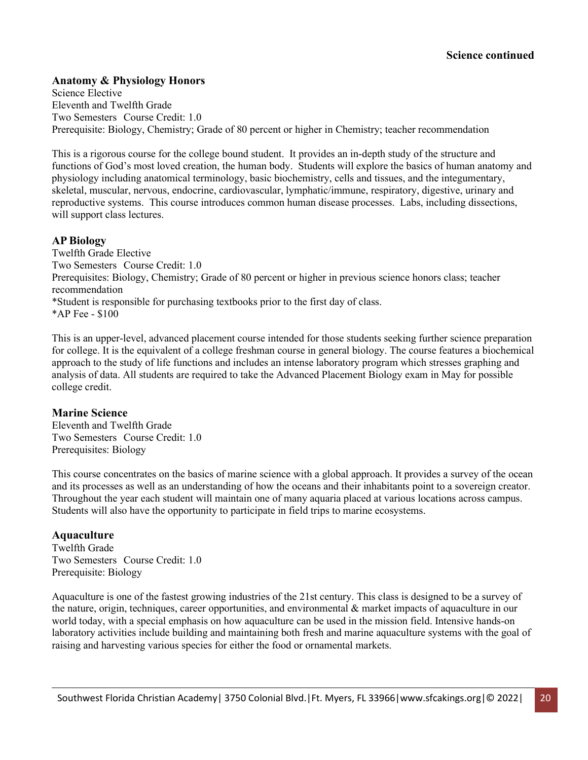#### **Anatomy & Physiology Honors**

Science Elective Eleventh and Twelfth Grade Two Semesters Course Credit: 1.0 Prerequisite: Biology, Chemistry; Grade of 80 percent or higher in Chemistry; teacher recommendation

This is a rigorous course for the college bound student. It provides an in-depth study of the structure and functions of God's most loved creation, the human body. Students will explore the basics of human anatomy and physiology including anatomical terminology, basic biochemistry, cells and tissues, and the integumentary, skeletal, muscular, nervous, endocrine, cardiovascular, lymphatic/immune, respiratory, digestive, urinary and reproductive systems. This course introduces common human disease processes. Labs, including dissections, will support class lectures.

#### **AP Biology**

Twelfth Grade Elective Two Semesters Course Credit: 1.0 Prerequisites: Biology, Chemistry; Grade of 80 percent or higher in previous science honors class; teacher recommendation \*Student is responsible for purchasing textbooks prior to the first day of class. \*AP Fee - \$100

This is an upper-level, advanced placement course intended for those students seeking further science preparation for college. It is the equivalent of a college freshman course in general biology. The course features a biochemical approach to the study of life functions and includes an intense laboratory program which stresses graphing and analysis of data. All students are required to take the Advanced Placement Biology exam in May for possible college credit.

#### **Marine Science**

Eleventh and Twelfth Grade Two Semesters Course Credit: 1.0 Prerequisites: Biology

This course concentrates on the basics of marine science with a global approach. It provides a survey of the ocean and its processes as well as an understanding of how the oceans and their inhabitants point to a sovereign creator. Throughout the year each student will maintain one of many aquaria placed at various locations across campus. Students will also have the opportunity to participate in field trips to marine ecosystems.

#### **Aquaculture**

Twelfth Grade Two Semesters Course Credit: 1.0 Prerequisite: Biology

Aquaculture is one of the fastest growing industries of the 21st century. This class is designed to be a survey of the nature, origin, techniques, career opportunities, and environmental & market impacts of aquaculture in our world today, with a special emphasis on how aquaculture can be used in the mission field. Intensive hands-on laboratory activities include building and maintaining both fresh and marine aquaculture systems with the goal of raising and harvesting various species for either the food or ornamental markets.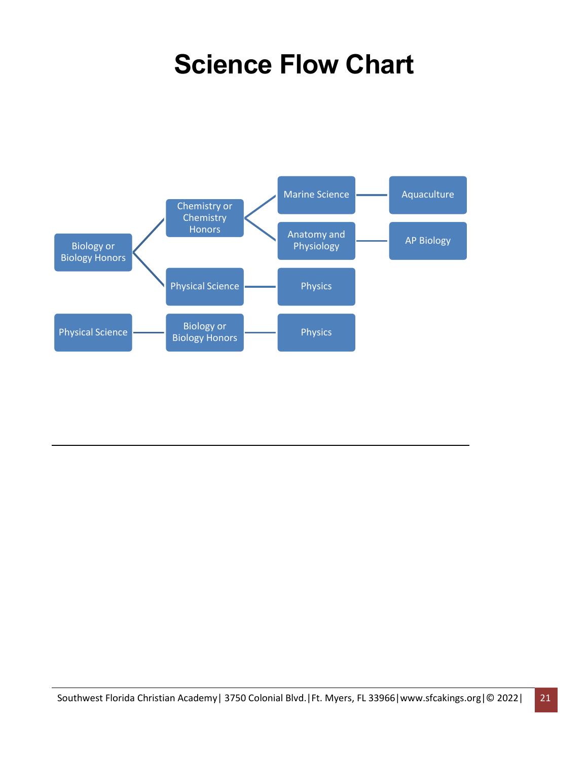# **Science Flow Chart**

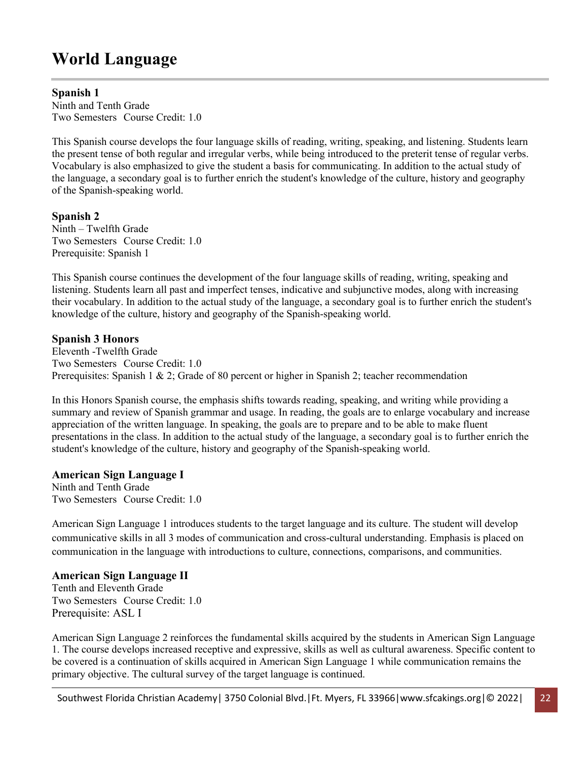# **World Language**

## **Spanish 1**

Ninth and Tenth Grade Two Semesters Course Credit: 1.0

This Spanish course develops the four language skills of reading, writing, speaking, and listening. Students learn the present tense of both regular and irregular verbs, while being introduced to the preterit tense of regular verbs. Vocabulary is also emphasized to give the student a basis for communicating. In addition to the actual study of the language, a secondary goal is to further enrich the student's knowledge of the culture, history and geography of the Spanish-speaking world.

## **Spanish 2**

Ninth – Twelfth Grade Two Semesters Course Credit: 1.0 Prerequisite: Spanish 1

This Spanish course continues the development of the four language skills of reading, writing, speaking and listening. Students learn all past and imperfect tenses, indicative and subjunctive modes, along with increasing their vocabulary. In addition to the actual study of the language, a secondary goal is to further enrich the student's knowledge of the culture, history and geography of the Spanish-speaking world.

## **Spanish 3 Honors**

Eleventh -Twelfth Grade Two Semesters Course Credit: 1.0 Prerequisites: Spanish 1 & 2; Grade of 80 percent or higher in Spanish 2; teacher recommendation

In this Honors Spanish course, the emphasis shifts towards reading, speaking, and writing while providing a summary and review of Spanish grammar and usage. In reading, the goals are to enlarge vocabulary and increase appreciation of the written language. In speaking, the goals are to prepare and to be able to make fluent presentations in the class. In addition to the actual study of the language, a secondary goal is to further enrich the student's knowledge of the culture, history and geography of the Spanish-speaking world.

### **American Sign Language I**

Ninth and Tenth Grade Two Semesters Course Credit: 1.0

American Sign Language 1 introduces students to the target language and its culture. The student will develop communicative skills in all 3 modes of communication and cross-cultural understanding. Emphasis is placed on communication in the language with introductions to culture, connections, comparisons, and communities.

### **American Sign Language II**

Tenth and Eleventh Grade Two Semesters Course Credit: 1.0 Prerequisite: ASL I

American Sign Language 2 reinforces the fundamental skills acquired by the students in American Sign Language 1. The course develops increased receptive and expressive, skills as well as cultural awareness. Specific content to be covered is a continuation of skills acquired in American Sign Language 1 while communication remains the primary objective. The cultural survey of the target language is continued.

Southwest Florida Christian Academy | 3750 Colonial Blvd. | Ft. Myers, FL 33966 | www.sfcakings.org | © 2022 | 22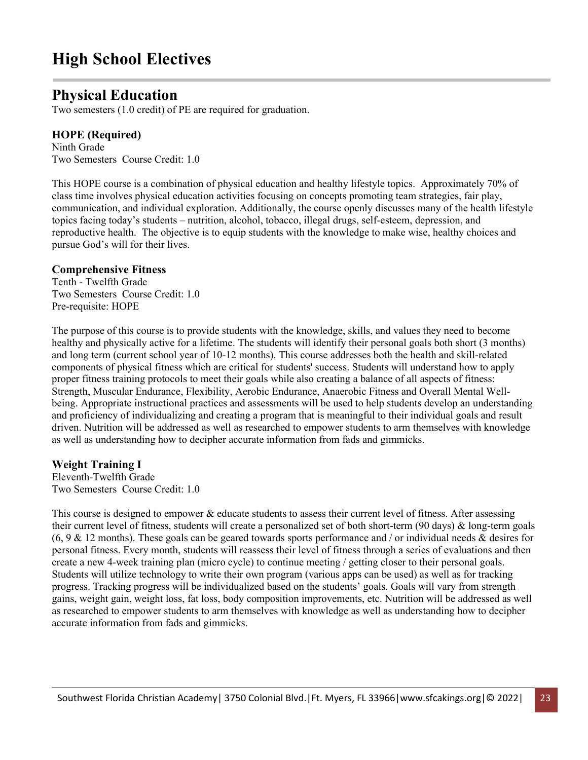# **High School Electives**

# **Physical Education**

Two semesters (1.0 credit) of PE are required for graduation.

# **HOPE (Required)**

Ninth Grade Two Semesters Course Credit: 1.0

This HOPE course is a combination of physical education and healthy lifestyle topics. Approximately 70% of class time involves physical education activities focusing on concepts promoting team strategies, fair play, communication, and individual exploration. Additionally, the course openly discusses many of the health lifestyle topics facing today's students – nutrition, alcohol, tobacco, illegal drugs, self-esteem, depression, and reproductive health. The objective is to equip students with the knowledge to make wise, healthy choices and pursue God's will for their lives.

#### **Comprehensive Fitness**

Tenth - Twelfth Grade Two Semesters Course Credit: 1.0 Pre-requisite: HOPE

The purpose of this course is to provide students with the knowledge, skills, and values they need to become healthy and physically active for a lifetime. The students will identify their personal goals both short (3 months) and long term (current school year of 10-12 months). This course addresses both the health and skill-related components of physical fitness which are critical for students' success. Students will understand how to apply proper fitness training protocols to meet their goals while also creating a balance of all aspects of fitness: Strength, Muscular Endurance, Flexibility, Aerobic Endurance, Anaerobic Fitness and Overall Mental Wellbeing. Appropriate instructional practices and assessments will be used to help students develop an understanding and proficiency of individualizing and creating a program that is meaningful to their individual goals and result driven. Nutrition will be addressed as well as researched to empower students to arm themselves with knowledge as well as understanding how to decipher accurate information from fads and gimmicks.

### **Weight Training I**

Eleventh-Twelfth Grade Two Semesters Course Credit: 1.0

This course is designed to empower & educate students to assess their current level of fitness. After assessing their current level of fitness, students will create a personalized set of both short-term (90 days) & long-term goals  $(6, 9 \& 12 \text{ months})$ . These goals can be geared towards sports performance and / or individual needs & desires for personal fitness. Every month, students will reassess their level of fitness through a series of evaluations and then create a new 4-week training plan (micro cycle) to continue meeting / getting closer to their personal goals. Students will utilize technology to write their own program (various apps can be used) as well as for tracking progress. Tracking progress will be individualized based on the students' goals. Goals will vary from strength gains, weight gain, weight loss, fat loss, body composition improvements, etc. Nutrition will be addressed as well as researched to empower students to arm themselves with knowledge as well as understanding how to decipher accurate information from fads and gimmicks.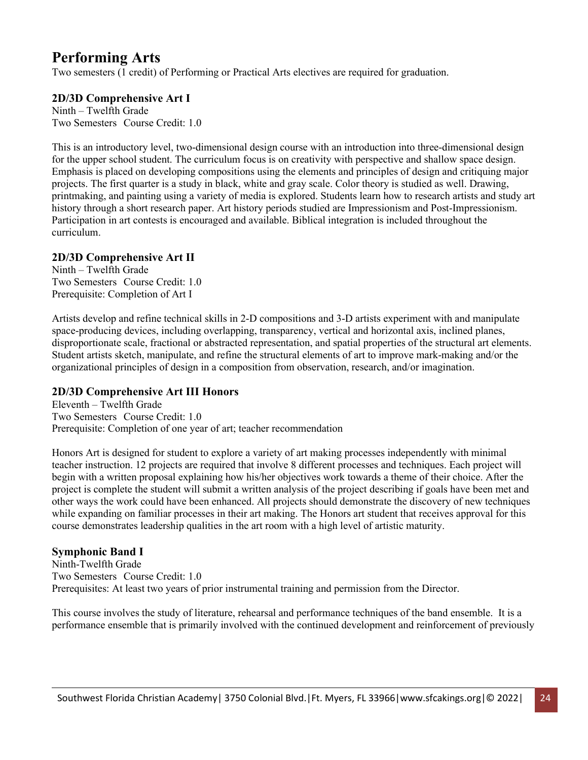# **Performing Arts**

Two semesters (1 credit) of Performing or Practical Arts electives are required for graduation.

# **2D/3D Comprehensive Art I**

Ninth – Twelfth Grade Two Semesters Course Credit: 1.0

This is an introductory level, two-dimensional design course with an introduction into three-dimensional design for the upper school student. The curriculum focus is on creativity with perspective and shallow space design. Emphasis is placed on developing compositions using the elements and principles of design and critiquing major projects. The first quarter is a study in black, white and gray scale. Color theory is studied as well. Drawing, printmaking, and painting using a variety of media is explored. Students learn how to research artists and study art history through a short research paper. Art history periods studied are Impressionism and Post-Impressionism. Participation in art contests is encouraged and available. Biblical integration is included throughout the curriculum.

# **2D/3D Comprehensive Art II**

Ninth – Twelfth Grade Two Semesters Course Credit: 1.0 Prerequisite: Completion of Art I

Artists develop and refine technical skills in 2-D compositions and 3-D artists experiment with and manipulate space-producing devices, including overlapping, transparency, vertical and horizontal axis, inclined planes, disproportionate scale, fractional or abstracted representation, and spatial properties of the structural art elements. Student artists sketch, manipulate, and refine the structural elements of art to improve mark-making and/or the organizational principles of design in a composition from observation, research, and/or imagination.

# **2D/3D Comprehensive Art III Honors**

Eleventh – Twelfth Grade Two Semesters Course Credit: 1.0 Prerequisite: Completion of one year of art; teacher recommendation

Honors Art is designed for student to explore a variety of art making processes independently with minimal teacher instruction. 12 projects are required that involve 8 different processes and techniques. Each project will begin with a written proposal explaining how his/her objectives work towards a theme of their choice. After the project is complete the student will submit a written analysis of the project describing if goals have been met and other ways the work could have been enhanced. All projects should demonstrate the discovery of new techniques while expanding on familiar processes in their art making. The Honors art student that receives approval for this course demonstrates leadership qualities in the art room with a high level of artistic maturity.

# **Symphonic Band I**

Ninth-Twelfth Grade Two Semesters Course Credit: 1.0 Prerequisites: At least two years of prior instrumental training and permission from the Director.

This course involves the study of literature, rehearsal and performance techniques of the band ensemble. It is a performance ensemble that is primarily involved with the continued development and reinforcement of previously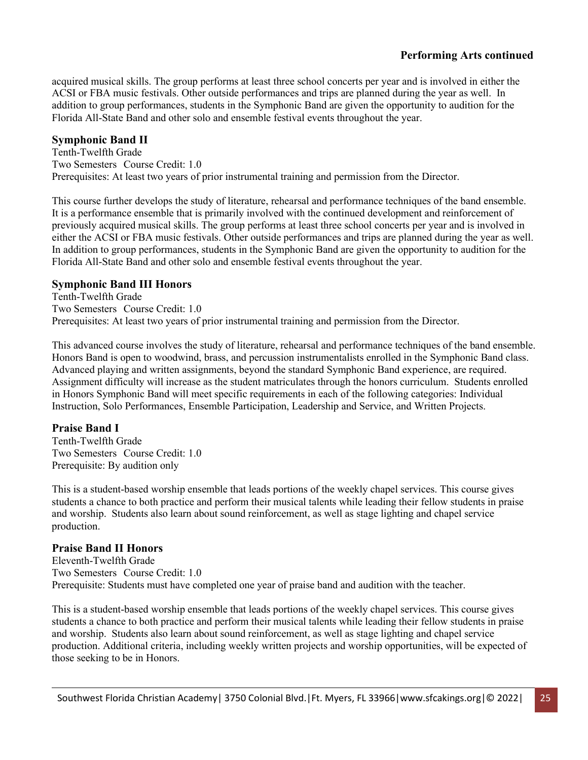# **Performing Arts continued**

acquired musical skills. The group performs at least three school concerts per year and is involved in either the ACSI or FBA music festivals. Other outside performances and trips are planned during the year as well. In addition to group performances, students in the Symphonic Band are given the opportunity to audition for the Florida All-State Band and other solo and ensemble festival events throughout the year.

## **Symphonic Band II**

Tenth-Twelfth Grade Two Semesters Course Credit: 1.0 Prerequisites: At least two years of prior instrumental training and permission from the Director.

This course further develops the study of literature, rehearsal and performance techniques of the band ensemble. It is a performance ensemble that is primarily involved with the continued development and reinforcement of previously acquired musical skills. The group performs at least three school concerts per year and is involved in either the ACSI or FBA music festivals. Other outside performances and trips are planned during the year as well. In addition to group performances, students in the Symphonic Band are given the opportunity to audition for the Florida All-State Band and other solo and ensemble festival events throughout the year.

### **Symphonic Band III Honors**

Tenth-Twelfth Grade Two Semesters Course Credit: 1.0 Prerequisites: At least two years of prior instrumental training and permission from the Director.

This advanced course involves the study of literature, rehearsal and performance techniques of the band ensemble. Honors Band is open to woodwind, brass, and percussion instrumentalists enrolled in the Symphonic Band class. Advanced playing and written assignments, beyond the standard Symphonic Band experience, are required. Assignment difficulty will increase as the student matriculates through the honors curriculum. Students enrolled in Honors Symphonic Band will meet specific requirements in each of the following categories: Individual Instruction, Solo Performances, Ensemble Participation, Leadership and Service, and Written Projects.

### **Praise Band I**

Tenth-Twelfth Grade Two Semesters Course Credit: 1.0 Prerequisite: By audition only

This is a student-based worship ensemble that leads portions of the weekly chapel services. This course gives students a chance to both practice and perform their musical talents while leading their fellow students in praise and worship. Students also learn about sound reinforcement, as well as stage lighting and chapel service production.

### **Praise Band II Honors**

Eleventh-Twelfth Grade Two Semesters Course Credit: 1.0 Prerequisite: Students must have completed one year of praise band and audition with the teacher.

This is a student-based worship ensemble that leads portions of the weekly chapel services. This course gives students a chance to both practice and perform their musical talents while leading their fellow students in praise and worship. Students also learn about sound reinforcement, as well as stage lighting and chapel service production. Additional criteria, including weekly written projects and worship opportunities, will be expected of those seeking to be in Honors.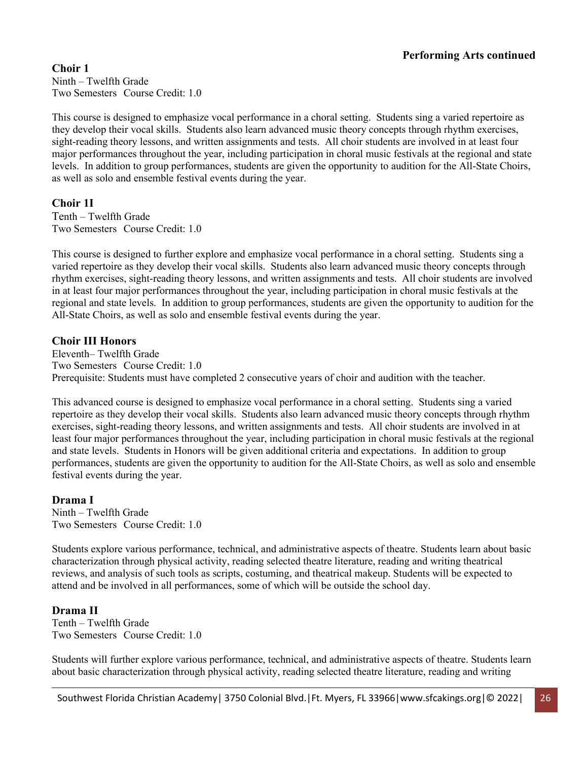**Choir 1** Ninth – Twelfth Grade Two Semesters Course Credit: 1.0

This course is designed to emphasize vocal performance in a choral setting. Students sing a varied repertoire as they develop their vocal skills. Students also learn advanced music theory concepts through rhythm exercises, sight-reading theory lessons, and written assignments and tests. All choir students are involved in at least four major performances throughout the year, including participation in choral music festivals at the regional and state levels. In addition to group performances, students are given the opportunity to audition for the All-State Choirs, as well as solo and ensemble festival events during the year.

## **Choir 1I**

Tenth – Twelfth Grade Two Semesters Course Credit: 1.0

This course is designed to further explore and emphasize vocal performance in a choral setting. Students sing a varied repertoire as they develop their vocal skills. Students also learn advanced music theory concepts through rhythm exercises, sight-reading theory lessons, and written assignments and tests. All choir students are involved in at least four major performances throughout the year, including participation in choral music festivals at the regional and state levels. In addition to group performances, students are given the opportunity to audition for the All-State Choirs, as well as solo and ensemble festival events during the year.

## **Choir III Honors**

Eleventh– Twelfth Grade Two Semesters Course Credit: 1.0 Prerequisite: Students must have completed 2 consecutive years of choir and audition with the teacher.

This advanced course is designed to emphasize vocal performance in a choral setting. Students sing a varied repertoire as they develop their vocal skills. Students also learn advanced music theory concepts through rhythm exercises, sight-reading theory lessons, and written assignments and tests. All choir students are involved in at least four major performances throughout the year, including participation in choral music festivals at the regional and state levels. Students in Honors will be given additional criteria and expectations. In addition to group performances, students are given the opportunity to audition for the All-State Choirs, as well as solo and ensemble festival events during the year.

# **Drama I**

Ninth – Twelfth Grade Two Semesters Course Credit: 1.0

Students explore various performance, technical, and administrative aspects of theatre. Students learn about basic characterization through physical activity, reading selected theatre literature, reading and writing theatrical reviews, and analysis of such tools as scripts, costuming, and theatrical makeup. Students will be expected to attend and be involved in all performances, some of which will be outside the school day.

### **Drama II**

Tenth – Twelfth Grade Two Semesters Course Credit: 1.0

Students will further explore various performance, technical, and administrative aspects of theatre. Students learn about basic characterization through physical activity, reading selected theatre literature, reading and writing

Southwest Florida Christian Academy | 3750 Colonial Blvd. | Ft. Myers, FL 33966 | www.sfcakings.org | © 2022 | 26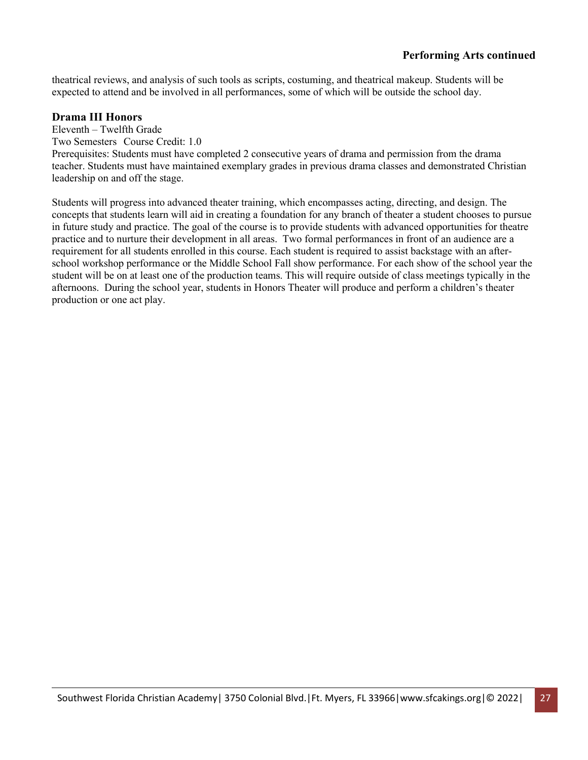theatrical reviews, and analysis of such tools as scripts, costuming, and theatrical makeup. Students will be expected to attend and be involved in all performances, some of which will be outside the school day.

#### **Drama III Honors**

Eleventh – Twelfth Grade

Two Semesters Course Credit: 1.0

Prerequisites: Students must have completed 2 consecutive years of drama and permission from the drama teacher. Students must have maintained exemplary grades in previous drama classes and demonstrated Christian leadership on and off the stage.

Students will progress into advanced theater training, which encompasses acting, directing, and design. The concepts that students learn will aid in creating a foundation for any branch of theater a student chooses to pursue in future study and practice. The goal of the course is to provide students with advanced opportunities for theatre practice and to nurture their development in all areas. Two formal performances in front of an audience are a requirement for all students enrolled in this course. Each student is required to assist backstage with an afterschool workshop performance or the Middle School Fall show performance. For each show of the school year the student will be on at least one of the production teams. This will require outside of class meetings typically in the afternoons. During the school year, students in Honors Theater will produce and perform a children's theater production or one act play.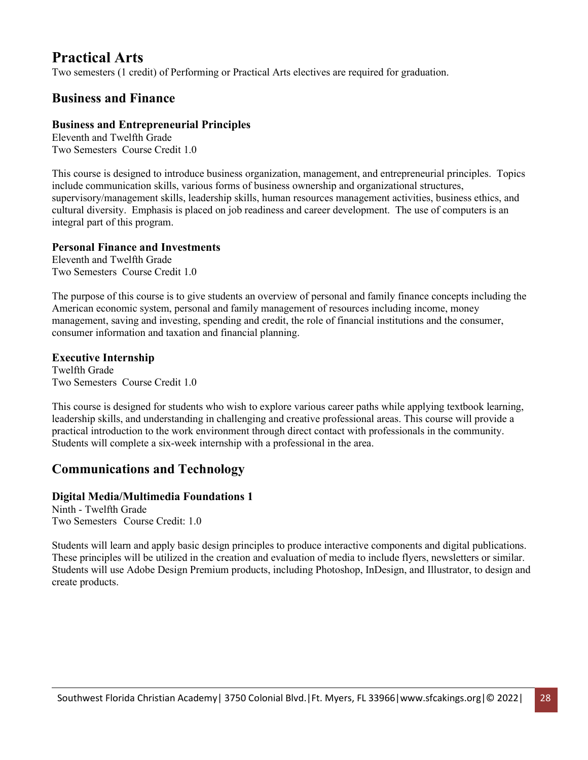# **Practical Arts**

Two semesters (1 credit) of Performing or Practical Arts electives are required for graduation.

# **Business and Finance**

# **Business and Entrepreneurial Principles**

Eleventh and Twelfth Grade Two Semesters Course Credit 1.0

This course is designed to introduce business organization, management, and entrepreneurial principles. Topics include communication skills, various forms of business ownership and organizational structures, supervisory/management skills, leadership skills, human resources management activities, business ethics, and cultural diversity. Emphasis is placed on job readiness and career development. The use of computers is an integral part of this program.

# **Personal Finance and Investments**

Eleventh and Twelfth Grade Two Semesters Course Credit 1.0

The purpose of this course is to give students an overview of personal and family finance concepts including the American economic system, personal and family management of resources including income, money management, saving and investing, spending and credit, the role of financial institutions and the consumer, consumer information and taxation and financial planning.

# **Executive Internship**

Twelfth Grade Two Semesters Course Credit 1.0

This course is designed for students who wish to explore various career paths while applying textbook learning, leadership skills, and understanding in challenging and creative professional areas. This course will provide a practical introduction to the work environment through direct contact with professionals in the community. Students will complete a six-week internship with a professional in the area.

# **Communications and Technology**

# **Digital Media/Multimedia Foundations 1**

Ninth - Twelfth Grade Two Semesters Course Credit: 1.0

Students will learn and apply basic design principles to produce interactive components and digital publications. These principles will be utilized in the creation and evaluation of media to include flyers, newsletters or similar. Students will use Adobe Design Premium products, including Photoshop, InDesign, and Illustrator, to design and create products.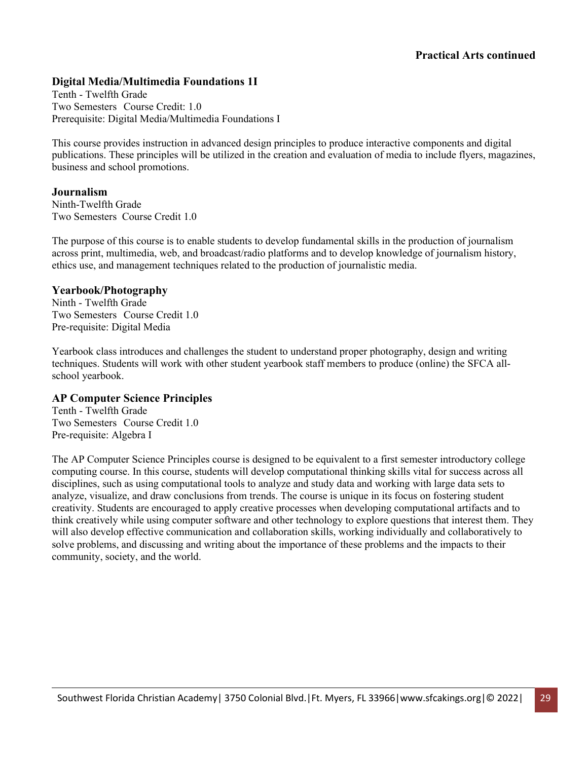# **Digital Media/Multimedia Foundations 1I**

Tenth - Twelfth Grade Two Semesters Course Credit: 1.0 Prerequisite: Digital Media/Multimedia Foundations I

This course provides instruction in advanced design principles to produce interactive components and digital publications. These principles will be utilized in the creation and evaluation of media to include flyers, magazines, business and school promotions.

#### **Journalism**

Ninth-Twelfth Grade Two Semesters Course Credit 1.0

The purpose of this course is to enable students to develop fundamental skills in the production of journalism across print, multimedia, web, and broadcast/radio platforms and to develop knowledge of journalism history, ethics use, and management techniques related to the production of journalistic media.

#### **Yearbook/Photography**

Ninth - Twelfth Grade Two Semesters Course Credit 1.0 Pre-requisite: Digital Media

Yearbook class introduces and challenges the student to understand proper photography, design and writing techniques. Students will work with other student yearbook staff members to produce (online) the SFCA allschool yearbook.

### **AP Computer Science Principles**

Tenth - Twelfth Grade Two Semesters Course Credit 1.0 Pre-requisite: Algebra I

The AP Computer Science Principles course is designed to be equivalent to a first semester introductory college computing course. In this course, students will develop computational thinking skills vital for success across all disciplines, such as using computational tools to analyze and study data and working with large data sets to analyze, visualize, and draw conclusions from trends. The course is unique in its focus on fostering student creativity. Students are encouraged to apply creative processes when developing computational artifacts and to think creatively while using computer software and other technology to explore questions that interest them. They will also develop effective communication and collaboration skills, working individually and collaboratively to solve problems, and discussing and writing about the importance of these problems and the impacts to their community, society, and the world.